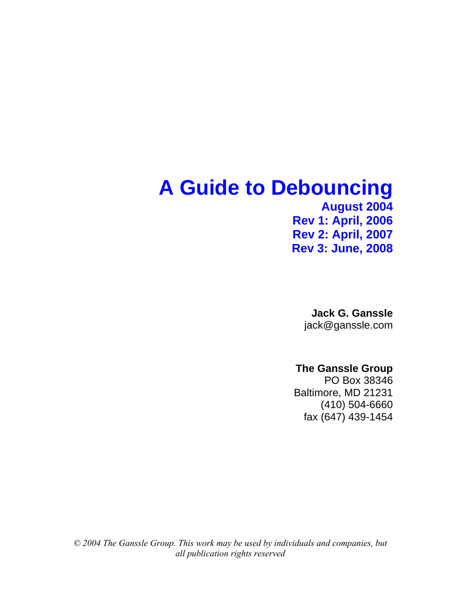# **A Guide to Debouncing**

**August 2004 Rev 1: April, 2006 Rev 2: April, 2007 Rev 3: June, 2008**

> **Jack G. Ganssle**  jack@ganssle.com

### **The Ganssle Group**

PO Box 38346 Baltimore, MD 21231 (410) 504-6660 fax (647) 439-1454

*© 2004 The Ganssle Group. This work may be used by individuals and companies, but all publication rights reserved*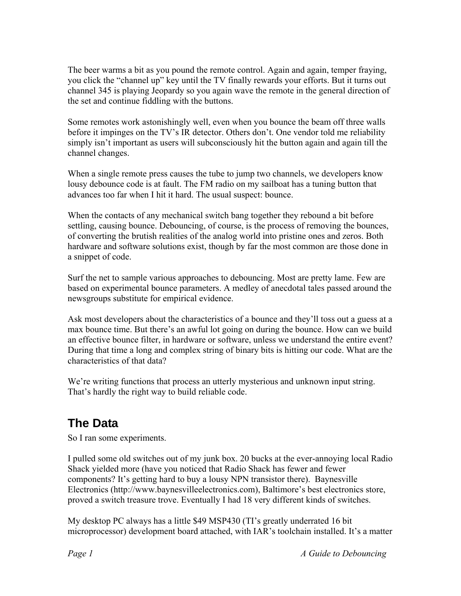The beer warms a bit as you pound the remote control. Again and again, temper fraying, you click the "channel up" key until the TV finally rewards your efforts. But it turns out channel 345 is playing Jeopardy so you again wave the remote in the general direction of the set and continue fiddling with the buttons.

Some remotes work astonishingly well, even when you bounce the beam off three walls before it impinges on the TV's IR detector. Others don't. One vendor told me reliability simply isn't important as users will subconsciously hit the button again and again till the channel changes.

When a single remote press causes the tube to jump two channels, we developers know lousy debounce code is at fault. The FM radio on my sailboat has a tuning button that advances too far when I hit it hard. The usual suspect: bounce.

When the contacts of any mechanical switch bang together they rebound a bit before settling, causing bounce. Debouncing, of course, is the process of removing the bounces, of converting the brutish realities of the analog world into pristine ones and zeros. Both hardware and software solutions exist, though by far the most common are those done in a snippet of code.

Surf the net to sample various approaches to debouncing. Most are pretty lame. Few are based on experimental bounce parameters. A medley of anecdotal tales passed around the newsgroups substitute for empirical evidence.

Ask most developers about the characteristics of a bounce and they'll toss out a guess at a max bounce time. But there's an awful lot going on during the bounce. How can we build an effective bounce filter, in hardware or software, unless we understand the entire event? During that time a long and complex string of binary bits is hitting our code. What are the characteristics of that data?

We're writing functions that process an utterly mysterious and unknown input string. That's hardly the right way to build reliable code.

# **The Data**

So I ran some experiments.

I pulled some old switches out of my junk box. 20 bucks at the ever-annoying local Radio Shack yielded more (have you noticed that Radio Shack has fewer and fewer components? It's getting hard to buy a lousy NPN transistor there). Baynesville Electronics (http://www.baynesvilleelectronics.com), Baltimore's best electronics store, proved a switch treasure trove. Eventually I had 18 very different kinds of switches.

My desktop PC always has a little \$49 MSP430 (TI's greatly underrated 16 bit microprocessor) development board attached, with IAR's toolchain installed. It's a matter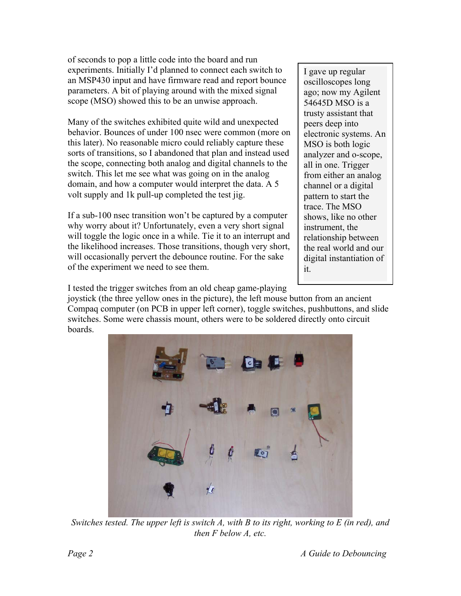of seconds to pop a little code into the board and run experiments. Initially I'd planned to connect each switch to an MSP430 input and have firmware read and report bounce parameters. A bit of playing around with the mixed signal scope (MSO) showed this to be an unwise approach.

Many of the switches exhibited quite wild and unexpected behavior. Bounces of under 100 nsec were common (more on this later). No reasonable micro could reliably capture these sorts of transitions, so I abandoned that plan and instead used the scope, connecting both analog and digital channels to the switch. This let me see what was going on in the analog domain, and how a computer would interpret the data. A 5 volt supply and 1k pull-up completed the test jig.

If a sub-100 nsec transition won't be captured by a computer why worry about it? Unfortunately, even a very short signal will toggle the logic once in a while. Tie it to an interrupt and the likelihood increases. Those transitions, though very short, will occasionally pervert the debounce routine. For the sake of the experiment we need to see them.

I gave up regular oscilloscopes long ago; now my Agilent 54645D MSO is a trusty assistant that peers deep into electronic systems. An MSO is both logic analyzer and o-scope, all in one. Trigger from either an analog channel or a digital pattern to start the trace. The MSO shows, like no other instrument, the relationship between the real world and our digital instantiation of it.

I tested the trigger switches from an old cheap game-playing

joystick (the three yellow ones in the picture), the left mouse button from an ancient Compaq computer (on PCB in upper left corner), toggle switches, pushbuttons, and slide switches. Some were chassis mount, others were to be soldered directly onto circuit boards.



*Switches tested. The upper left is switch A, with B to its right, working to E (in red), and then F below A, etc.*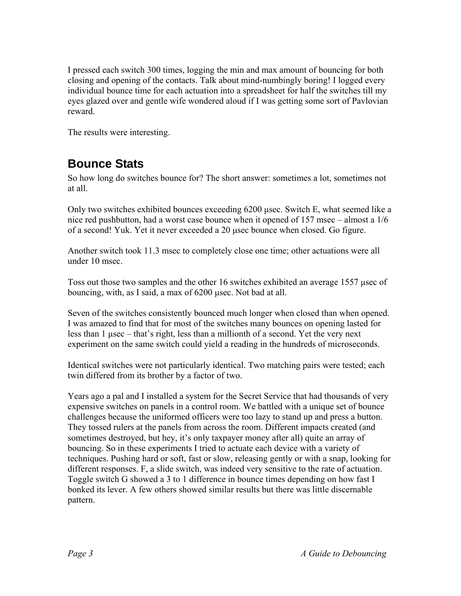I pressed each switch 300 times, logging the min and max amount of bouncing for both closing and opening of the contacts. Talk about mind-numbingly boring! I logged every individual bounce time for each actuation into a spreadsheet for half the switches till my eyes glazed over and gentle wife wondered aloud if I was getting some sort of Pavlovian reward.

The results were interesting.

# **Bounce Stats**

So how long do switches bounce for? The short answer: sometimes a lot, sometimes not at all.

Only two switches exhibited bounces exceeding 6200 μsec. Switch E, what seemed like a nice red pushbutton, had a worst case bounce when it opened of 157 msec – almost a 1/6 of a second! Yuk. Yet it never exceeded a 20 μsec bounce when closed. Go figure.

Another switch took 11.3 msec to completely close one time; other actuations were all under 10 msec.

Toss out those two samples and the other 16 switches exhibited an average 1557 μsec of bouncing, with, as I said, a max of 6200 μsec. Not bad at all.

Seven of the switches consistently bounced much longer when closed than when opened. I was amazed to find that for most of the switches many bounces on opening lasted for less than 1 μsec – that's right, less than a millionth of a second. Yet the very next experiment on the same switch could yield a reading in the hundreds of microseconds.

Identical switches were not particularly identical. Two matching pairs were tested; each twin differed from its brother by a factor of two.

Years ago a pal and I installed a system for the Secret Service that had thousands of very expensive switches on panels in a control room. We battled with a unique set of bounce challenges because the uniformed officers were too lazy to stand up and press a button. They tossed rulers at the panels from across the room. Different impacts created (and sometimes destroyed, but hey, it's only taxpayer money after all) quite an array of bouncing. So in these experiments I tried to actuate each device with a variety of techniques. Pushing hard or soft, fast or slow, releasing gently or with a snap, looking for different responses. F, a slide switch, was indeed very sensitive to the rate of actuation. Toggle switch G showed a 3 to 1 difference in bounce times depending on how fast I bonked its lever. A few others showed similar results but there was little discernable pattern.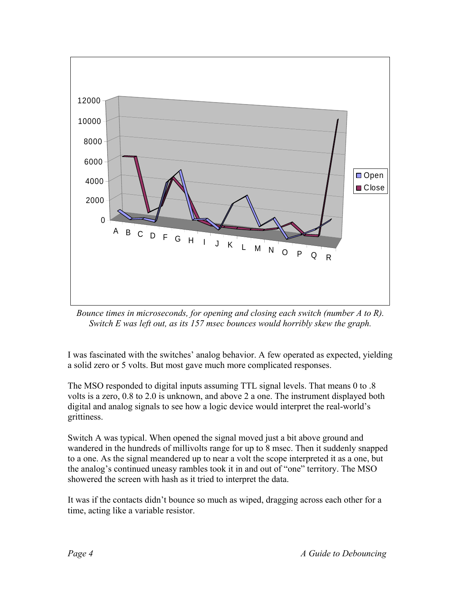

*Bounce times in microseconds, for opening and closing each switch (number A to R). Switch E was left out, as its 157 msec bounces would horribly skew the graph.* 

I was fascinated with the switches' analog behavior. A few operated as expected, yielding a solid zero or 5 volts. But most gave much more complicated responses.

The MSO responded to digital inputs assuming TTL signal levels. That means 0 to .8 volts is a zero, 0.8 to 2.0 is unknown, and above 2 a one. The instrument displayed both digital and analog signals to see how a logic device would interpret the real-world's grittiness.

Switch A was typical. When opened the signal moved just a bit above ground and wandered in the hundreds of millivolts range for up to 8 msec. Then it suddenly snapped to a one. As the signal meandered up to near a volt the scope interpreted it as a one, but the analog's continued uneasy rambles took it in and out of "one" territory. The MSO showered the screen with hash as it tried to interpret the data.

It was if the contacts didn't bounce so much as wiped, dragging across each other for a time, acting like a variable resistor.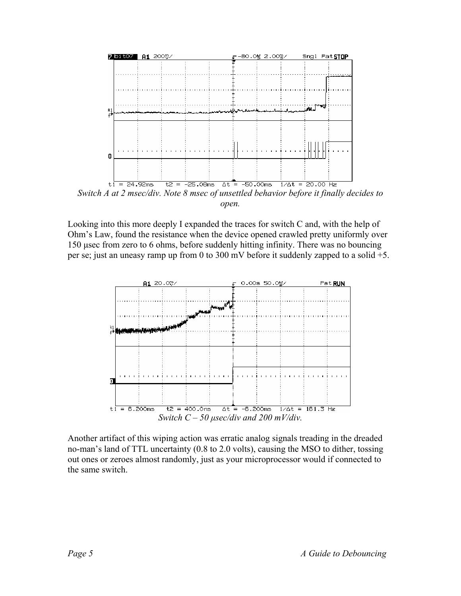

*Switch A at 2 msec/div. Note 8 msec of unsettled behavior before it finally decides to open.* 

Looking into this more deeply I expanded the traces for switch C and, with the help of Ohm's Law, found the resistance when the device opened crawled pretty uniformly over 150 μsec from zero to 6 ohms, before suddenly hitting infinity. There was no bouncing per se; just an uneasy ramp up from 0 to 300 mV before it suddenly zapped to a solid +5.



Another artifact of this wiping action was erratic analog signals treading in the dreaded no-man's land of TTL uncertainty (0.8 to 2.0 volts), causing the MSO to dither, tossing out ones or zeroes almost randomly, just as your microprocessor would if connected to the same switch.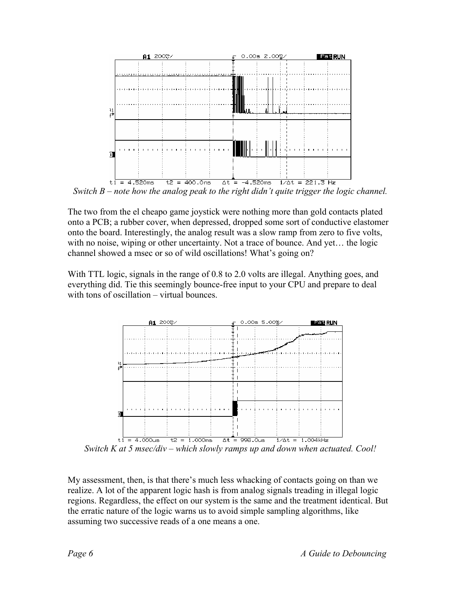

*Switch B – note how the analog peak to the right didn't quite trigger the logic channel.* 

The two from the el cheapo game joystick were nothing more than gold contacts plated onto a PCB; a rubber cover, when depressed, dropped some sort of conductive elastomer onto the board. Interestingly, the analog result was a slow ramp from zero to five volts, with no noise, wiping or other uncertainty. Not a trace of bounce. And yet… the logic channel showed a msec or so of wild oscillations! What's going on?

With TTL logic, signals in the range of 0.8 to 2.0 volts are illegal. Anything goes, and everything did. Tie this seemingly bounce-free input to your CPU and prepare to deal with tons of oscillation – virtual bounces.



*Switch K at 5 msec/div – which slowly ramps up and down when actuated. Cool!* 

My assessment, then, is that there's much less whacking of contacts going on than we realize. A lot of the apparent logic hash is from analog signals treading in illegal logic regions. Regardless, the effect on our system is the same and the treatment identical. But the erratic nature of the logic warns us to avoid simple sampling algorithms, like assuming two successive reads of a one means a one.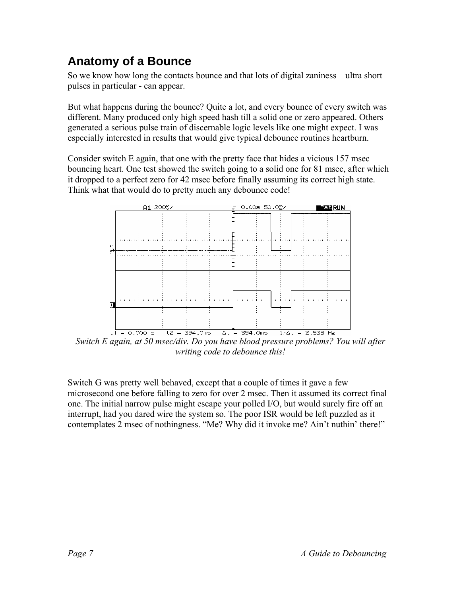# **Anatomy of a Bounce**

So we know how long the contacts bounce and that lots of digital zaniness – ultra short pulses in particular - can appear.

But what happens during the bounce? Quite a lot, and every bounce of every switch was different. Many produced only high speed hash till a solid one or zero appeared. Others generated a serious pulse train of discernable logic levels like one might expect. I was especially interested in results that would give typical debounce routines heartburn.

Consider switch E again, that one with the pretty face that hides a vicious 157 msec bouncing heart. One test showed the switch going to a solid one for 81 msec, after which it dropped to a perfect zero for 42 msec before finally assuming its correct high state. Think what that would do to pretty much any debounce code!



*Switch E again, at 50 msec/div. Do you have blood pressure problems? You will after writing code to debounce this!* 

Switch G was pretty well behaved, except that a couple of times it gave a few microsecond one before falling to zero for over 2 msec. Then it assumed its correct final one. The initial narrow pulse might escape your polled I/O, but would surely fire off an interrupt, had you dared wire the system so. The poor ISR would be left puzzled as it contemplates 2 msec of nothingness. "Me? Why did it invoke me? Ain't nuthin' there!"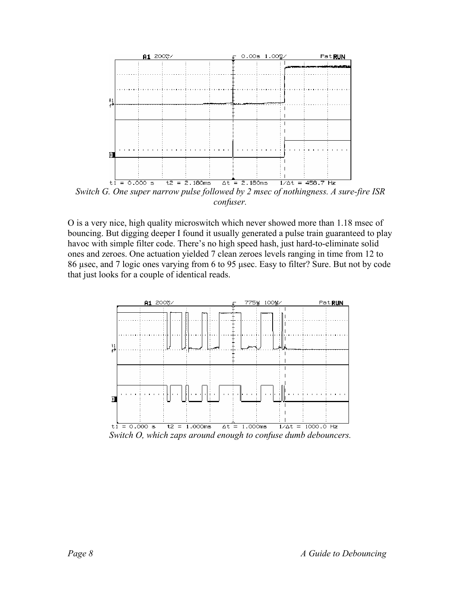

*confuser.* 

O is a very nice, high quality microswitch which never showed more than 1.18 msec of bouncing. But digging deeper I found it usually generated a pulse train guaranteed to play havoc with simple filter code. There's no high speed hash, just hard-to-eliminate solid ones and zeroes. One actuation yielded 7 clean zeroes levels ranging in time from 12 to 86 µsec, and 7 logic ones varying from 6 to 95 μsec. Easy to filter? Sure. But not by code that just looks for a couple of identical reads.



*Switch O, which zaps around enough to confuse dumb debouncers.*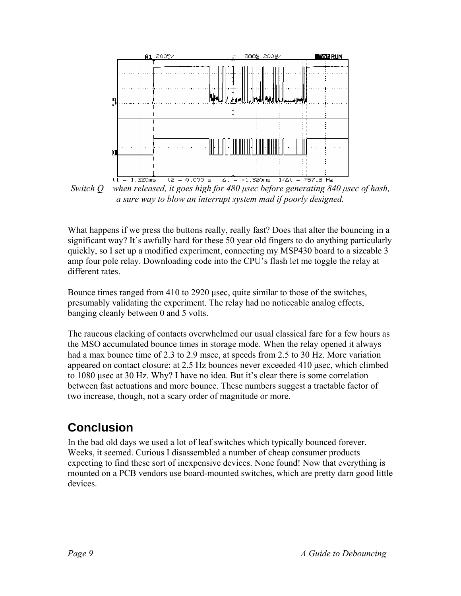

*Switch Q – when released, it goes high for 480 μsec before generating 840 μsec of hash, a sure way to blow an interrupt system mad if poorly designed.* 

What happens if we press the buttons really, really fast? Does that alter the bouncing in a significant way? It's awfully hard for these 50 year old fingers to do anything particularly quickly, so I set up a modified experiment, connecting my MSP430 board to a sizeable 3 amp four pole relay. Downloading code into the CPU's flash let me toggle the relay at different rates

Bounce times ranged from 410 to 2920 μsec, quite similar to those of the switches, presumably validating the experiment. The relay had no noticeable analog effects, banging cleanly between 0 and 5 volts.

The raucous clacking of contacts overwhelmed our usual classical fare for a few hours as the MSO accumulated bounce times in storage mode. When the relay opened it always had a max bounce time of 2.3 to 2.9 msec, at speeds from 2.5 to 30 Hz. More variation appeared on contact closure: at 2.5 Hz bounces never exceeded 410 μsec, which climbed to 1080 μsec at 30 Hz. Why? I have no idea. But it's clear there is some correlation between fast actuations and more bounce. These numbers suggest a tractable factor of two increase, though, not a scary order of magnitude or more.

# **Conclusion**

In the bad old days we used a lot of leaf switches which typically bounced forever. Weeks, it seemed. Curious I disassembled a number of cheap consumer products expecting to find these sort of inexpensive devices. None found! Now that everything is mounted on a PCB vendors use board-mounted switches, which are pretty darn good little devices.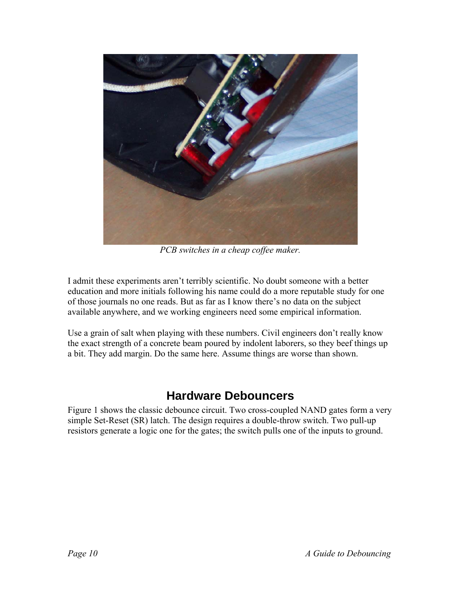

*PCB switches in a cheap coffee maker.* 

I admit these experiments aren't terribly scientific. No doubt someone with a better education and more initials following his name could do a more reputable study for one of those journals no one reads. But as far as I know there's no data on the subject available anywhere, and we working engineers need some empirical information.

Use a grain of salt when playing with these numbers. Civil engineers don't really know the exact strength of a concrete beam poured by indolent laborers, so they beef things up a bit. They add margin. Do the same here. Assume things are worse than shown.

# **Hardware Debouncers**

Figure 1 shows the classic debounce circuit. Two cross-coupled NAND gates form a very simple Set-Reset (SR) latch. The design requires a double-throw switch. Two pull-up resistors generate a logic one for the gates; the switch pulls one of the inputs to ground.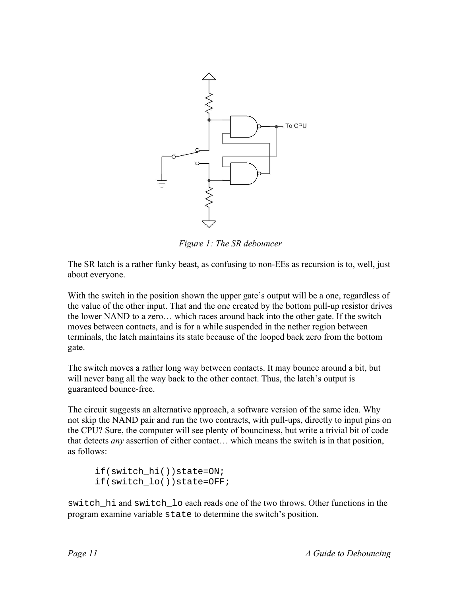

*Figure 1: The SR debouncer* 

The SR latch is a rather funky beast, as confusing to non-EEs as recursion is to, well, just about everyone.

With the switch in the position shown the upper gate's output will be a one, regardless of the value of the other input. That and the one created by the bottom pull-up resistor drives the lower NAND to a zero… which races around back into the other gate. If the switch moves between contacts, and is for a while suspended in the nether region between terminals, the latch maintains its state because of the looped back zero from the bottom gate.

The switch moves a rather long way between contacts. It may bounce around a bit, but will never bang all the way back to the other contact. Thus, the latch's output is guaranteed bounce-free.

The circuit suggests an alternative approach, a software version of the same idea. Why not skip the NAND pair and run the two contracts, with pull-ups, directly to input pins on the CPU? Sure, the computer will see plenty of bounciness, but write a trivial bit of code that detects *any* assertion of either contact… which means the switch is in that position, as follows:

if(switch\_hi())state=ON; if(switch\_lo())state=OFF;

switch\_hi and switch\_lo each reads one of the two throws. Other functions in the program examine variable state to determine the switch's position.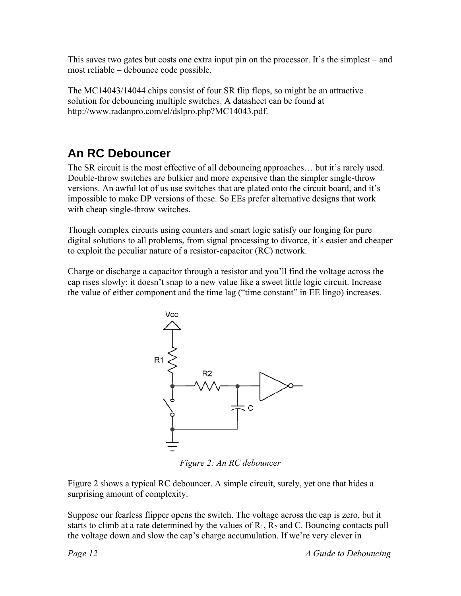This saves two gates but costs one extra input pin on the processor. It's the simplest – and most reliable – debounce code possible.

The MC14043/14044 chips consist of four SR flip flops, so might be an attractive solution for debouncing multiple switches. A datasheet can be found at http://www.radanpro.com/el/dslpro.php?MC14043.pdf.

# **An RC Debouncer**

The SR circuit is the most effective of all debouncing approaches… but it's rarely used. Double-throw switches are bulkier and more expensive than the simpler single-throw versions. An awful lot of us use switches that are plated onto the circuit board, and it's impossible to make DP versions of these. So EEs prefer alternative designs that work with cheap single-throw switches.

Though complex circuits using counters and smart logic satisfy our longing for pure digital solutions to all problems, from signal processing to divorce, it's easier and cheaper to exploit the peculiar nature of a resistor-capacitor (RC) network.

Charge or discharge a capacitor through a resistor and you'll find the voltage across the cap rises slowly; it doesn't snap to a new value like a sweet little logic circuit. Increase the value of either component and the time lag ("time constant" in EE lingo) increases.



*Figure 2: An RC debouncer* 

Figure 2 shows a typical RC debouncer. A simple circuit, surely, yet one that hides a surprising amount of complexity.

Suppose our fearless flipper opens the switch. The voltage across the cap is zero, but it starts to climb at a rate determined by the values of  $R_1$ ,  $R_2$  and C. Bouncing contacts pull the voltage down and slow the cap's charge accumulation. If we're very clever in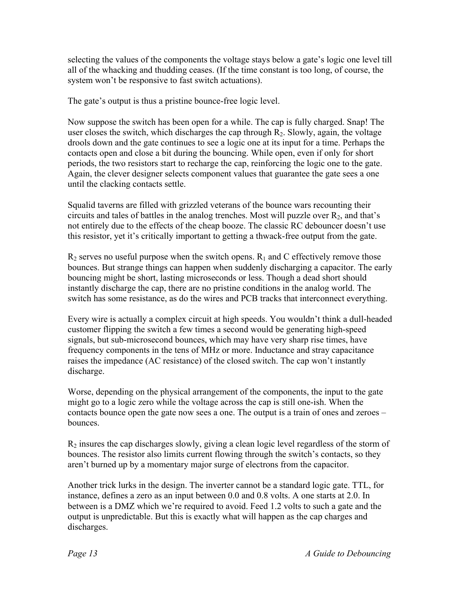selecting the values of the components the voltage stays below a gate's logic one level till all of the whacking and thudding ceases. (If the time constant is too long, of course, the system won't be responsive to fast switch actuations).

The gate's output is thus a pristine bounce-free logic level.

Now suppose the switch has been open for a while. The cap is fully charged. Snap! The user closes the switch, which discharges the cap through  $R_2$ . Slowly, again, the voltage drools down and the gate continues to see a logic one at its input for a time. Perhaps the contacts open and close a bit during the bouncing. While open, even if only for short periods, the two resistors start to recharge the cap, reinforcing the logic one to the gate. Again, the clever designer selects component values that guarantee the gate sees a one until the clacking contacts settle.

Squalid taverns are filled with grizzled veterans of the bounce wars recounting their circuits and tales of battles in the analog trenches. Most will puzzle over  $R_2$ , and that's not entirely due to the effects of the cheap booze. The classic RC debouncer doesn't use this resistor, yet it's critically important to getting a thwack-free output from the gate.

 $R_2$  serves no useful purpose when the switch opens.  $R_1$  and C effectively remove those bounces. But strange things can happen when suddenly discharging a capacitor. The early bouncing might be short, lasting microseconds or less. Though a dead short should instantly discharge the cap, there are no pristine conditions in the analog world. The switch has some resistance, as do the wires and PCB tracks that interconnect everything.

Every wire is actually a complex circuit at high speeds. You wouldn't think a dull-headed customer flipping the switch a few times a second would be generating high-speed signals, but sub-microsecond bounces, which may have very sharp rise times, have frequency components in the tens of MHz or more. Inductance and stray capacitance raises the impedance (AC resistance) of the closed switch. The cap won't instantly discharge.

Worse, depending on the physical arrangement of the components, the input to the gate might go to a logic zero while the voltage across the cap is still one-ish. When the contacts bounce open the gate now sees a one. The output is a train of ones and zeroes – bounces.

 $R_2$  insures the cap discharges slowly, giving a clean logic level regardless of the storm of bounces. The resistor also limits current flowing through the switch's contacts, so they aren't burned up by a momentary major surge of electrons from the capacitor.

Another trick lurks in the design. The inverter cannot be a standard logic gate. TTL, for instance, defines a zero as an input between 0.0 and 0.8 volts. A one starts at 2.0. In between is a DMZ which we're required to avoid. Feed 1.2 volts to such a gate and the output is unpredictable. But this is exactly what will happen as the cap charges and discharges.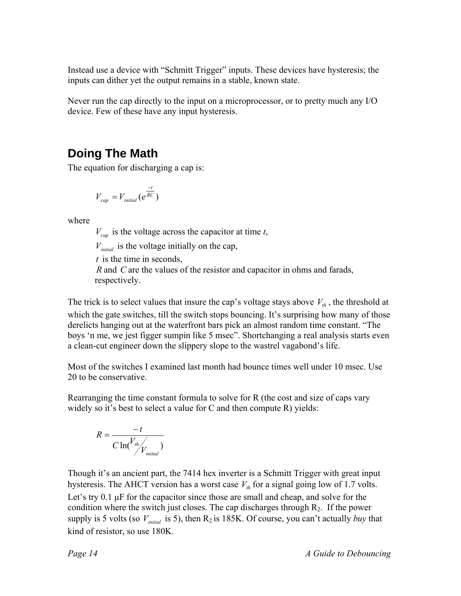Instead use a device with "Schmitt Trigger" inputs. These devices have hysteresis; the inputs can dither yet the output remains in a stable, known state.

Never run the cap directly to the input on a microprocessor, or to pretty much any I/O device. Few of these have any input hysteresis.

# **Doing The Math**

The equation for discharging a cap is:

$$
V_{cap} = V_{initial}(e^{\frac{-t}{RC}})
$$

where

 $V_{\text{can}}$  is the voltage across the capacitor at time *t*,

*Vinitial* is the voltage initially on the cap,

*t* is the time in seconds,

*R* and *C* are the values of the resistor and capacitor in ohms and farads, respectively.

The trick is to select values that insure the cap's voltage stays above  $V_{th}$ , the threshold at which the gate switches, till the switch stops bouncing. It's surprising how many of those derelicts hanging out at the waterfront bars pick an almost random time constant. "The boys 'n me, we jest figger sumpin like 5 msec". Shortchanging a real analysis starts even a clean-cut engineer down the slippery slope to the wastrel vagabond's life.

Most of the switches I examined last month had bounce times well under 10 msec. Use 20 to be conservative.

Rearranging the time constant formula to solve for R (the cost and size of caps vary widely so it's best to select a value for C and then compute R) yields:

$$
R = \frac{-t}{C \ln(\frac{V_{th}}{V_{initial}})}
$$

Though it's an ancient part, the 7414 hex inverter is a Schmitt Trigger with great input hysteresis. The AHCT version has a worst case  $V_{th}$  for a signal going low of 1.7 volts. Let's try 0.1 μF for the capacitor since those are small and cheap, and solve for the condition where the switch just closes. The cap discharges through  $R_2$ . If the power supply is 5 volts (so  $V_{initial}$  is 5), then  $R_2$  is 185K. Of course, you can't actually *buy* that kind of resistor, so use 180K.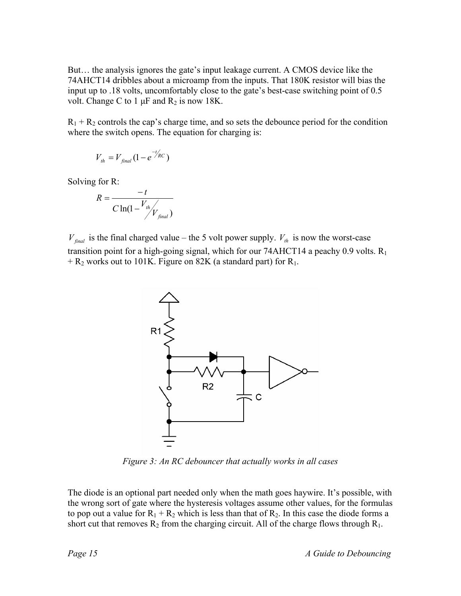But… the analysis ignores the gate's input leakage current. A CMOS device like the 74AHCT14 dribbles about a microamp from the inputs. That 180K resistor will bias the input up to .18 volts, uncomfortably close to the gate's best-case switching point of 0.5 volt. Change C to 1  $\mu$ F and R<sub>2</sub> is now 18K.

 $R_1$  +  $R_2$  controls the cap's charge time, and so sets the debounce period for the condition where the switch opens. The equation for charging is:

$$
V_{\rm th} = V_{\rm final} (1 - e^{-t/RC})
$$

Solving for R:

$$
R = \frac{-t}{C \ln(1 - \frac{V_{th}}{V_{final}})}
$$

 $V_{\text{final}}$  is the final charged value – the 5 volt power supply.  $V_{th}$  is now the worst-case transition point for a high-going signal, which for our 74AHCT14 a peachy  $0.9$  volts.  $R_1$  $+ R_2$  works out to 101K. Figure on 82K (a standard part) for  $R_1$ .



*Figure 3: An RC debouncer that actually works in all cases* 

The diode is an optional part needed only when the math goes haywire. It's possible, with the wrong sort of gate where the hysteresis voltages assume other values, for the formulas to pop out a value for  $R_1 + R_2$  which is less than that of  $R_2$ . In this case the diode forms a short cut that removes  $R_2$  from the charging circuit. All of the charge flows through  $R_1$ .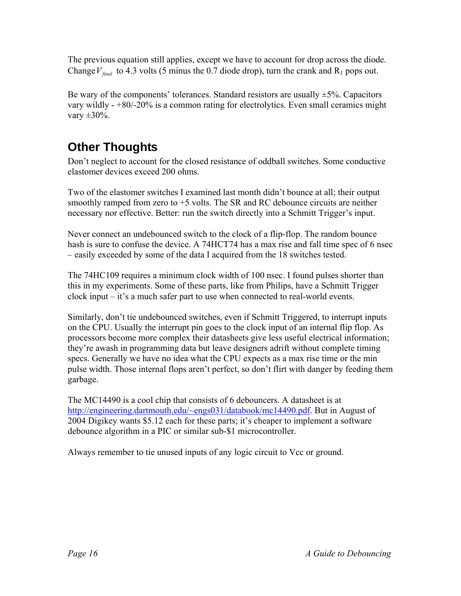The previous equation still applies, except we have to account for drop across the diode. Change  $V_{\text{final}}$  to 4.3 volts (5 minus the 0.7 diode drop), turn the crank and  $R_1$  pops out.

Be wary of the components' tolerances. Standard resistors are usually  $\pm 5\%$ . Capacitors vary wildly - +80/-20% is a common rating for electrolytics. Even small ceramics might vary  $\pm 30\%$ .

# **Other Thoughts**

Don't neglect to account for the closed resistance of oddball switches. Some conductive elastomer devices exceed 200 ohms.

Two of the elastomer switches I examined last month didn't bounce at all; their output smoothly ramped from zero to +5 volts. The SR and RC debounce circuits are neither necessary nor effective. Better: run the switch directly into a Schmitt Trigger's input.

Never connect an undebounced switch to the clock of a flip-flop. The random bounce hash is sure to confuse the device. A 74HCT74 has a max rise and fall time spec of 6 nsec – easily exceeded by some of the data I acquired from the 18 switches tested.

The 74HC109 requires a minimum clock width of 100 nsec. I found pulses shorter than this in my experiments. Some of these parts, like from Philips, have a Schmitt Trigger clock input – it's a much safer part to use when connected to real-world events.

Similarly, don't tie undebounced switches, even if Schmitt Triggered, to interrupt inputs on the CPU. Usually the interrupt pin goes to the clock input of an internal flip flop. As processors become more complex their datasheets give less useful electrical information; they're awash in programming data but leave designers adrift without complete timing specs. Generally we have no idea what the CPU expects as a max rise time or the min pulse width. Those internal flops aren't perfect, so don't flirt with danger by feeding them garbage.

The MC14490 is a cool chip that consists of 6 debouncers. A datasheet is at http://engineering.dartmouth.edu/~engs031/databook/mc14490.pdf. But in August of 2004 Digikey wants \$5.12 each for these parts; it's cheaper to implement a software debounce algorithm in a PIC or similar sub-\$1 microcontroller.

Always remember to tie unused inputs of any logic circuit to Vcc or ground.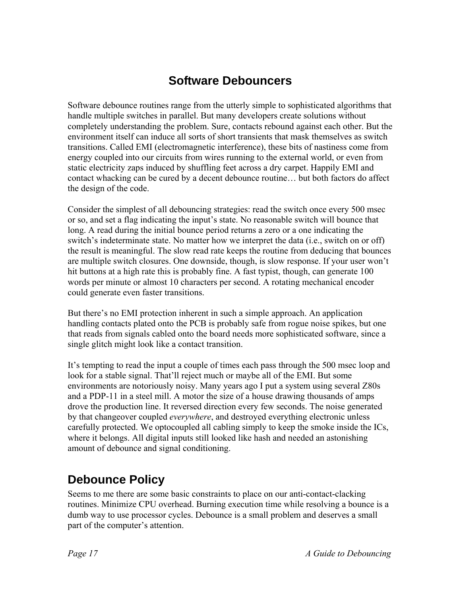# **Software Debouncers**

Software debounce routines range from the utterly simple to sophisticated algorithms that handle multiple switches in parallel. But many developers create solutions without completely understanding the problem. Sure, contacts rebound against each other. But the environment itself can induce all sorts of short transients that mask themselves as switch transitions. Called EMI (electromagnetic interference), these bits of nastiness come from energy coupled into our circuits from wires running to the external world, or even from static electricity zaps induced by shuffling feet across a dry carpet. Happily EMI and contact whacking can be cured by a decent debounce routine… but both factors do affect the design of the code.

Consider the simplest of all debouncing strategies: read the switch once every 500 msec or so, and set a flag indicating the input's state. No reasonable switch will bounce that long. A read during the initial bounce period returns a zero or a one indicating the switch's indeterminate state. No matter how we interpret the data (i.e., switch on or off) the result is meaningful. The slow read rate keeps the routine from deducing that bounces are multiple switch closures. One downside, though, is slow response. If your user won't hit buttons at a high rate this is probably fine. A fast typist, though, can generate 100 words per minute or almost 10 characters per second. A rotating mechanical encoder could generate even faster transitions.

But there's no EMI protection inherent in such a simple approach. An application handling contacts plated onto the PCB is probably safe from rogue noise spikes, but one that reads from signals cabled onto the board needs more sophisticated software, since a single glitch might look like a contact transition.

It's tempting to read the input a couple of times each pass through the 500 msec loop and look for a stable signal. That'll reject much or maybe all of the EMI. But some environments are notoriously noisy. Many years ago I put a system using several Z80s and a PDP-11 in a steel mill. A motor the size of a house drawing thousands of amps drove the production line. It reversed direction every few seconds. The noise generated by that changeover coupled *everywhere*, and destroyed everything electronic unless carefully protected. We optocoupled all cabling simply to keep the smoke inside the ICs, where it belongs. All digital inputs still looked like hash and needed an astonishing amount of debounce and signal conditioning.

# **Debounce Policy**

Seems to me there are some basic constraints to place on our anti-contact-clacking routines. Minimize CPU overhead. Burning execution time while resolving a bounce is a dumb way to use processor cycles. Debounce is a small problem and deserves a small part of the computer's attention.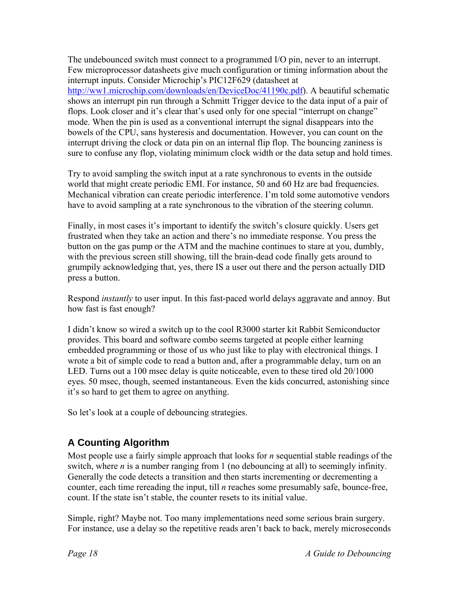The undebounced switch must connect to a programmed I/O pin, never to an interrupt. Few microprocessor datasheets give much configuration or timing information about the interrupt inputs. Consider Microchip's PIC12F629 (datasheet at http://ww1.microchip.com/downloads/en/DeviceDoc/41190c.pdf). A beautiful schematic shows an interrupt pin run through a Schmitt Trigger device to the data input of a pair of flops. Look closer and it's clear that's used only for one special "interrupt on change" mode. When the pin is used as a conventional interrupt the signal disappears into the bowels of the CPU, sans hysteresis and documentation. However, you can count on the interrupt driving the clock or data pin on an internal flip flop. The bouncing zaniness is sure to confuse any flop, violating minimum clock width or the data setup and hold times.

Try to avoid sampling the switch input at a rate synchronous to events in the outside world that might create periodic EMI. For instance, 50 and 60 Hz are bad frequencies. Mechanical vibration can create periodic interference. I'm told some automotive vendors have to avoid sampling at a rate synchronous to the vibration of the steering column.

Finally, in most cases it's important to identify the switch's closure quickly. Users get frustrated when they take an action and there's no immediate response. You press the button on the gas pump or the ATM and the machine continues to stare at you, dumbly, with the previous screen still showing, till the brain-dead code finally gets around to grumpily acknowledging that, yes, there IS a user out there and the person actually DID press a button.

Respond *instantly* to user input. In this fast-paced world delays aggravate and annoy. But how fast is fast enough?

I didn't know so wired a switch up to the cool R3000 starter kit Rabbit Semiconductor provides. This board and software combo seems targeted at people either learning embedded programming or those of us who just like to play with electronical things. I wrote a bit of simple code to read a button and, after a programmable delay, turn on an LED. Turns out a 100 msec delay is quite noticeable, even to these tired old 20/1000 eyes. 50 msec, though, seemed instantaneous. Even the kids concurred, astonishing since it's so hard to get them to agree on anything.

So let's look at a couple of debouncing strategies.

### **A Counting Algorithm**

Most people use a fairly simple approach that looks for *n* sequential stable readings of the switch, where *n* is a number ranging from 1 (no debouncing at all) to seemingly infinity. Generally the code detects a transition and then starts incrementing or decrementing a counter, each time rereading the input, till *n* reaches some presumably safe, bounce-free, count. If the state isn't stable, the counter resets to its initial value.

Simple, right? Maybe not. Too many implementations need some serious brain surgery. For instance, use a delay so the repetitive reads aren't back to back, merely microseconds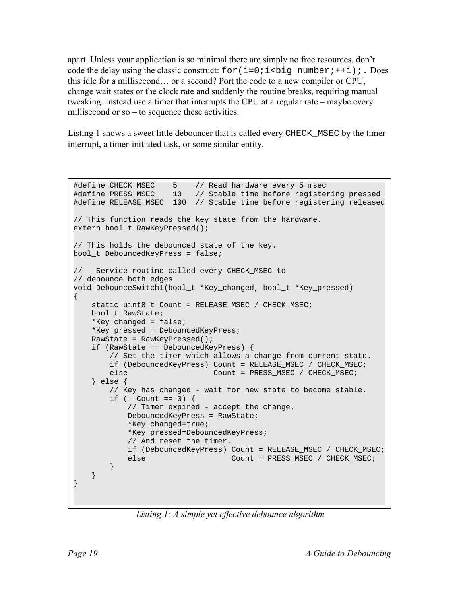apart. Unless your application is so minimal there are simply no free resources, don't code the delay using the classic construct:  $for(i=0; i<\text{big_number};++)$ ;. Does this idle for a millisecond… or a second? Port the code to a new compiler or CPU, change wait states or the clock rate and suddenly the routine breaks, requiring manual tweaking. Instead use a timer that interrupts the CPU at a regular rate – maybe every millisecond or so – to sequence these activities.

Listing 1 shows a sweet little debouncer that is called every CHECK\_MSEC by the timer interrupt, a timer-initiated task, or some similar entity.

```
#define CHECK_MSEC 5 // Read hardware every 5 msec 
#define PRESS_MSEC 10 // Stable time before registering pressed 
#define RELEASE_MSEC 100 // Stable time before registering released
// This function reads the key state from the hardware. 
extern bool_t RawKeyPressed();
// This holds the debounced state of the key. 
bool t DebouncedKeyPress = false;
// Service routine called every CHECK_MSEC to 
// debounce both edges 
void DebounceSwitch1(bool_t *Key_changed, bool_t *Key_pressed) 
{ 
    static uint8_t Count = RELEASE_MSEC / CHECK_MSEC; 
    bool_t RawState; 
    *Key_changed = false; 
    *Key_pressed = DebouncedKeyPress; 
    RawState = RawKeyPressed(); 
     if (RawState == DebouncedKeyPress) { 
         // Set the timer which allows a change from current state. 
        if (DebouncedKeyPress) Count = RELEASE_MSEC / CHECK_MSEC; 
       else Count = PRESS_MSEC / CHECK_MSEC;
     } else { 
        // Key has changed - wait for new state to become stable. 
       if (--Count == 0) {
            // Timer expired - accept the change. 
            DebouncedKeyPress = RawState; 
            *Key_changed=true; 
             *Key_pressed=DebouncedKeyPress; 
             // And reset the timer. 
            if (DebouncedKeyPress) Count = RELEASE_MSEC / CHECK_MSEC;
           else Count = PRESS_MSEC / CHECK_MSEC;
        } 
    } 
}
```
*Listing 1: A simple yet effective debounce algorithm*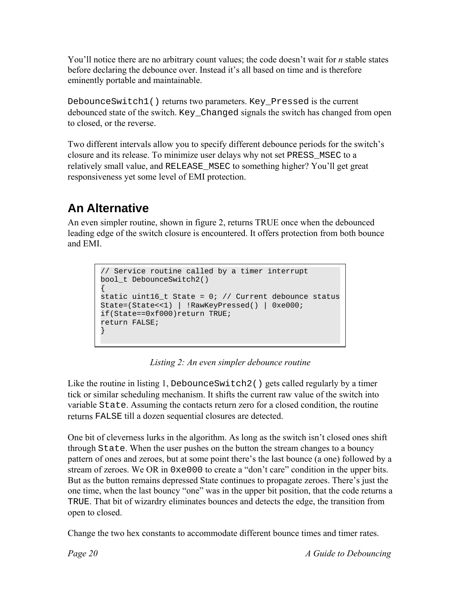You'll notice there are no arbitrary count values; the code doesn't wait for *n* stable states before declaring the debounce over. Instead it's all based on time and is therefore eminently portable and maintainable.

DebounceSwitch1() returns two parameters. Key\_Pressed is the current debounced state of the switch. Key\_Changed signals the switch has changed from open to closed, or the reverse.

Two different intervals allow you to specify different debounce periods for the switch's closure and its release. To minimize user delays why not set PRESS\_MSEC to a relatively small value, and RELEASE\_MSEC to something higher? You'll get great responsiveness yet some level of EMI protection.

# **An Alternative**

An even simpler routine, shown in figure 2, returns TRUE once when the debounced leading edge of the switch closure is encountered. It offers protection from both bounce and EMI.

```
// Service routine called by a timer interrupt 
bool_t DebounceSwitch2() 
{ 
static uint16_t State = 0; // Current debounce status 
State=(State<<1) | !RawKeyPressed() | 0xe000; 
if(State==0xf000)return TRUE; 
return FALSE; 
}
```
*Listing 2: An even simpler debounce routine* 

Like the routine in listing 1, DebounceSwitch2() gets called regularly by a timer tick or similar scheduling mechanism. It shifts the current raw value of the switch into variable State. Assuming the contacts return zero for a closed condition, the routine returns FALSE till a dozen sequential closures are detected.

One bit of cleverness lurks in the algorithm. As long as the switch isn't closed ones shift through State. When the user pushes on the button the stream changes to a bouncy pattern of ones and zeroes, but at some point there's the last bounce (a one) followed by a stream of zeroes. We OR in 0xe000 to create a "don't care" condition in the upper bits. But as the button remains depressed State continues to propagate zeroes. There's just the one time, when the last bouncy "one" was in the upper bit position, that the code returns a TRUE. That bit of wizardry eliminates bounces and detects the edge, the transition from open to closed.

Change the two hex constants to accommodate different bounce times and timer rates.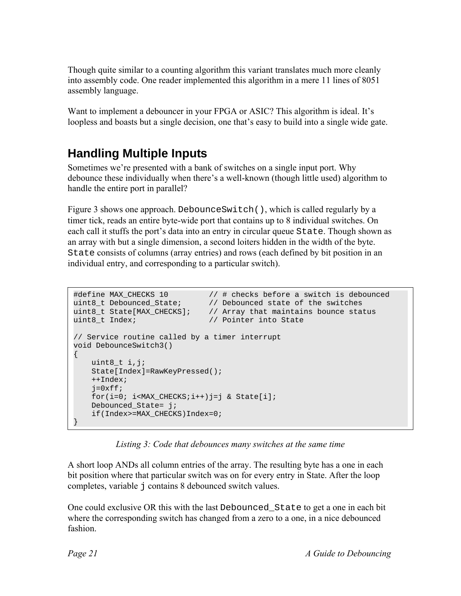Though quite similar to a counting algorithm this variant translates much more cleanly into assembly code. One reader implemented this algorithm in a mere 11 lines of 8051 assembly language.

Want to implement a debouncer in your FPGA or ASIC? This algorithm is ideal. It's loopless and boasts but a single decision, one that's easy to build into a single wide gate.

# **Handling Multiple Inputs**

Sometimes we're presented with a bank of switches on a single input port. Why debounce these individually when there's a well-known (though little used) algorithm to handle the entire port in parallel?

Figure 3 shows one approach. DebounceSwitch(), which is called regularly by a timer tick, reads an entire byte-wide port that contains up to 8 individual switches. On each call it stuffs the port's data into an entry in circular queue State. Though shown as an array with but a single dimension, a second loiters hidden in the width of the byte. State consists of columns (array entries) and rows (each defined by bit position in an individual entry, and corresponding to a particular switch).

```
#define MAX_CHECKS 10 // # checks before a switch is debounced 
uint8_t Debounced_State; // Debounced state of the switches 
uint8_t State[MAX_CHECKS]; // Array that maintains bounce status 
uint8 t Index; \frac{1}{2} // Pointer into State
// Service routine called by a timer interrupt 
void DebounceSwitch3() 
{ 
   uint8 t i,j;
    State[Index]=RawKeyPressed(); 
    ++Index; 
    j=0xff; for(i=0; i<MAX_CHECKS;i++)j=j & State[i]; 
   Debounced State= j;
     if(Index>=MAX_CHECKS)Index=0; 
}
```
*Listing 3: Code that debounces many switches at the same time* 

A short loop ANDs all column entries of the array. The resulting byte has a one in each bit position where that particular switch was on for every entry in State. After the loop completes, variable j contains 8 debounced switch values.

One could exclusive OR this with the last Debounced\_State to get a one in each bit where the corresponding switch has changed from a zero to a one, in a nice debounced fashion.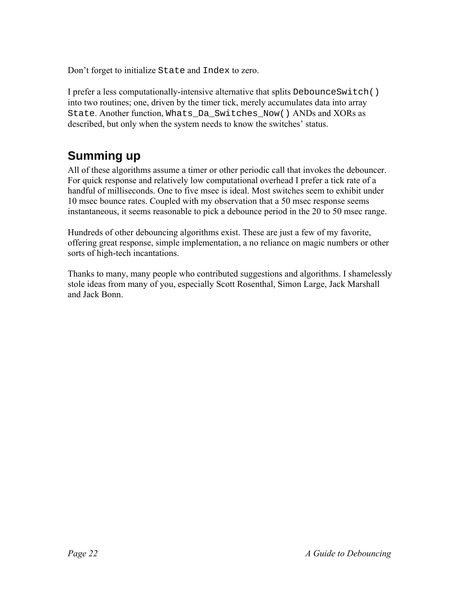Don't forget to initialize State and Index to zero.

I prefer a less computationally-intensive alternative that splits DebounceSwitch() into two routines; one, driven by the timer tick, merely accumulates data into array State. Another function, Whats Da Switches Now() ANDs and XORs as described, but only when the system needs to know the switches' status.

# **Summing up**

All of these algorithms assume a timer or other periodic call that invokes the debouncer. For quick response and relatively low computational overhead I prefer a tick rate of a handful of milliseconds. One to five msec is ideal. Most switches seem to exhibit under 10 msec bounce rates. Coupled with my observation that a 50 msec response seems instantaneous, it seems reasonable to pick a debounce period in the 20 to 50 msec range.

Hundreds of other debouncing algorithms exist. These are just a few of my favorite, offering great response, simple implementation, a no reliance on magic numbers or other sorts of high-tech incantations.

Thanks to many, many people who contributed suggestions and algorithms. I shamelessly stole ideas from many of you, especially Scott Rosenthal, Simon Large, Jack Marshall and Jack Bonn.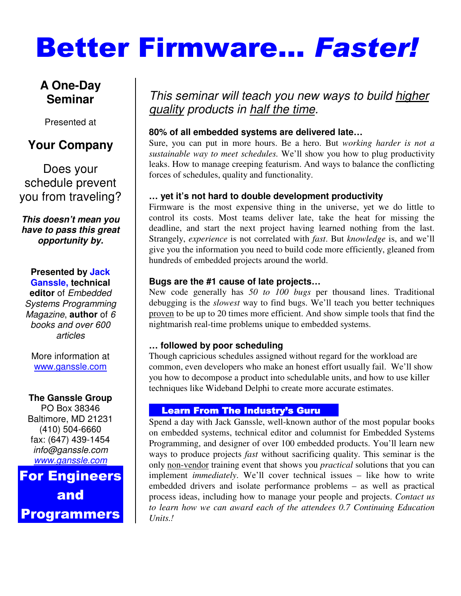# Better Firmware… Faster!

# **A One-Day Seminar**

Presented at

# **Your Company**

Does your schedule prevent you from traveling?

**This doesn't mean you have to pass this great opportunity by.** 

#### **Presented by Jack Ganssle, technical editor** of Embedded Systems Programming

Magazine, **author** of 6 books and over 600 articles

More information at www.ganssle.com

### **The Ganssle Group**

PO Box 38346 Baltimore, MD 21231 (410) 504-6660 fax: (647) 439-1454 info@ganssle.com www.ganssle.com

# For Engineers and **Programmers**

This seminar will teach you new ways to build higher quality products in half the time.

### **80% of all embedded systems are delivered late…**

Sure, you can put in more hours. Be a hero. But *working harder is not a sustainable way to meet schedules.* We'll show you how to plug productivity leaks. How to manage creeping featurism. And ways to balance the conflicting forces of schedules, quality and functionality.

### **… yet it's not hard to double development productivity**

Firmware is the most expensive thing in the universe, yet we do little to control its costs. Most teams deliver late, take the heat for missing the deadline, and start the next project having learned nothing from the last. Strangely, *experience* is not correlated with *fast*. But *knowledge* is, and we'll give you the information you need to build code more efficiently, gleaned from hundreds of embedded projects around the world.

### **Bugs are the #1 cause of late projects…**

New code generally has *50 to 100 bugs* per thousand lines. Traditional debugging is the *slowest* way to find bugs. We'll teach you better techniques proven to be up to 20 times more efficient. And show simple tools that find the nightmarish real-time problems unique to embedded systems.

### **… followed by poor scheduling**

Though capricious schedules assigned without regard for the workload are common, even developers who make an honest effort usually fail. We'll show you how to decompose a product into schedulable units, and how to use killer techniques like Wideband Delphi to create more accurate estimates.

### **Learn From The Industry's Guru**

Spend a day with Jack Ganssle, well-known author of the most popular books on embedded systems, technical editor and columnist for Embedded Systems Programming, and designer of over 100 embedded products. You'll learn new ways to produce projects *fast* without sacrificing quality. This seminar is the only non-vendor training event that shows you *practical* solutions that you can implement *immediately*. We'll cover technical issues – like how to write embedded drivers and isolate performance problems – as well as practical process ideas, including how to manage your people and projects. *Contact us to learn how we can award each of the attendees 0.7 Continuing Education Units.!*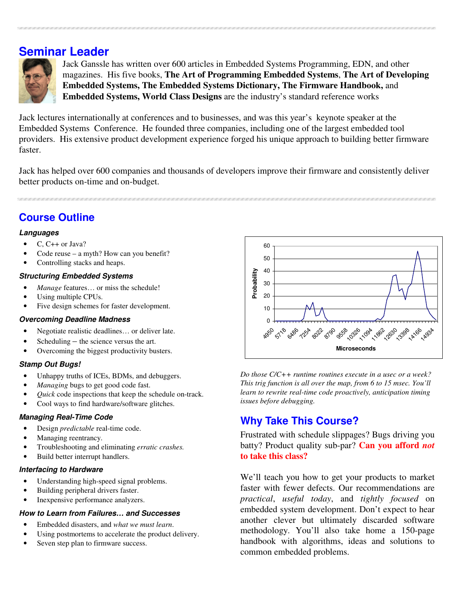# **Seminar Leader**



Jack Ganssle has written over 600 articles in Embedded Systems Programming, EDN, and other magazines. His five books, **The Art of Programming Embedded Systems**, **The Art of Developing Embedded Systems, The Embedded Systems Dictionary, The Firmware Handbook,** and **Embedded Systems, World Class Designs** are the industry's standard reference works

Jack lectures internationally at conferences and to businesses, and was this year's keynote speaker at the Embedded Systems Conference. He founded three companies, including one of the largest embedded tool providers. His extensive product development experience forged his unique approach to building better firmware faster.

Jack has helped over 600 companies and thousands of developers improve their firmware and consistently deliver better products on-time and on-budget.

## **Course Outline**

#### **Languages**

- $\bullet$  C, C++ or Java?
- Code reuse a myth? How can you benefit?
- Controlling stacks and heaps.

#### **Structuring Embedded Systems**

- *Manage* features... or miss the schedule!
- Using multiple CPUs.
- Five design schemes for faster development.

#### **Overcoming Deadline Madness**

- Negotiate realistic deadlines... or deliver late.
- Scheduling the science versus the art.
- Overcoming the biggest productivity busters.

#### **Stamp Out Bugs!**

- Unhappy truths of ICEs, BDMs, and debuggers.
- *Managing* bugs to get good code fast.
- *Quick* code inspections that keep the schedule on-track.
- Cool ways to find hardware/software glitches.

#### **Managing Real-Time Code**

- Design *predictable* real-time code.
- Managing reentrancy.
- Troubleshooting and eliminating *erratic crashes.*
- Build better interrupt handlers.

#### **Interfacing to Hardware**

- Understanding high-speed signal problems.
- Building peripheral drivers faster.
- Inexpensive performance analyzers.

#### **How to Learn from Failures… and Successes**

- Embedded disasters, and *what we must learn*.
- Using postmortems to accelerate the product delivery.
- Seven step plan to firmware success.



*Do those C/C++ runtime routines execute in a usec or a week? This trig function is all over the map, from 6 to 15 msec. You'll learn to rewrite real-time code proactively, anticipation timing issues before debugging.* 

### **Why Take This Course?**

Frustrated with schedule slippages? Bugs driving you batty? Product quality sub-par? **Can you afford** *not* **to take this class?**

We'll teach you how to get your products to market faster with fewer defects. Our recommendations are *practical*, *useful today*, and *tightly focused* on embedded system development. Don't expect to hear another clever but ultimately discarded software methodology. You'll also take home a 150-page handbook with algorithms, ideas and solutions to common embedded problems.